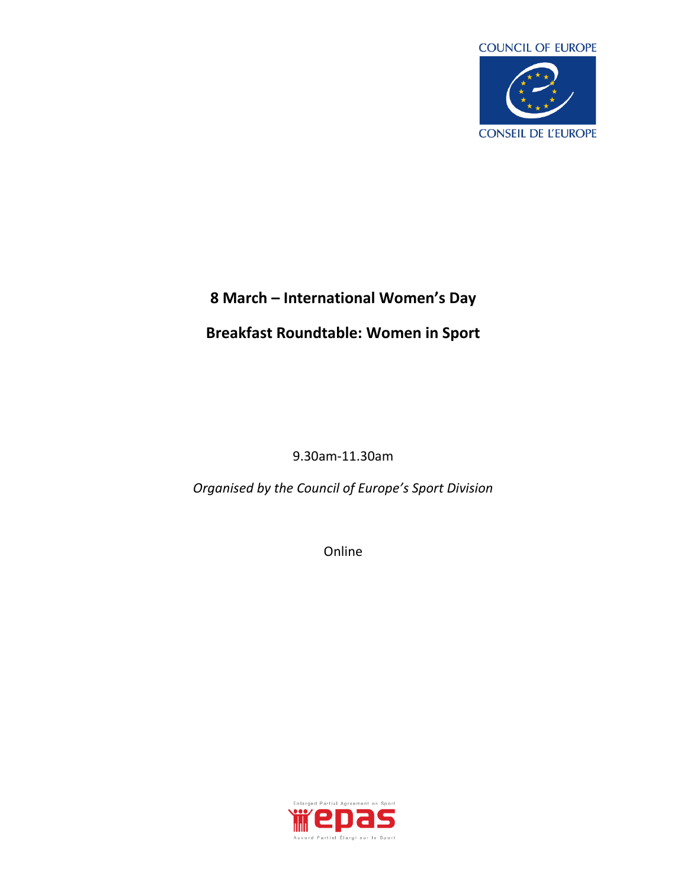

## **8 March – International Women's Day**

## **Breakfast Roundtable: Women in Sport**

9.30am-11.30am

*Organised by the Council of Europe's Sport Division*

Online

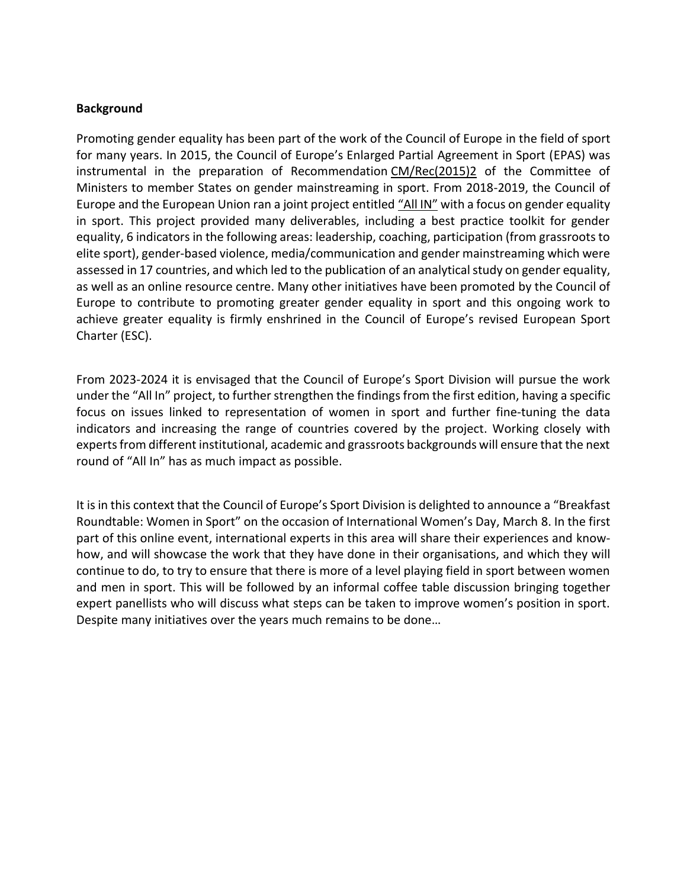## **Background**

Promoting gender equality has been part of the work of the Council of Europe in the field of sport for many years. In 2015, the Council of Europe's Enlarged Partial Agreement in Sport (EPAS) was instrumental in the preparation of Recommendation [CM/Rec\(2015\)2](https://search.coe.int/cm/Pages/result_details.aspx?Reference=CM/Rec(2015)2) of the Committee of Ministers to member States on gender mainstreaming in sport. From 2018-2019, the Council of Europe and the European Union ran a joint project entitled ["All IN"](https://human-rights-channel.coe.int/all-in-en.html) with a focus on gender equality in sport. This project provided many deliverables, including a best practice toolkit for gender equality, 6 indicators in the following areas: leadership, coaching, participation (from grassroots to elite sport), gender-based violence, media/communication and gender mainstreaming which were assessed in 17 countries, and which led to the publication of an analytical study on gender equality, as well as an online resource centre. Many other initiatives have been promoted by the Council of Europe to contribute to promoting greater gender equality in sport and this ongoing work to achieve greater equality is firmly enshrined in the Council of Europe's revised European Sport Charter (ESC).

From 2023-2024 it is envisaged that the Council of Europe's Sport Division will pursue the work under the "All In" project, to further strengthen the findings from the first edition, having a specific focus on issues linked to representation of women in sport and further fine-tuning the data indicators and increasing the range of countries covered by the project. Working closely with experts from different institutional, academic and grassroots backgrounds will ensure that the next round of "All In" has as much impact as possible.

It is in this context that the Council of Europe's Sport Division is delighted to announce a "Breakfast Roundtable: Women in Sport" on the occasion of International Women's Day, March 8. In the first part of this online event, international experts in this area will share their experiences and knowhow, and will showcase the work that they have done in their organisations, and which they will continue to do, to try to ensure that there is more of a level playing field in sport between women and men in sport. This will be followed by an informal coffee table discussion bringing together expert panellists who will discuss what steps can be taken to improve women's position in sport. Despite many initiatives over the years much remains to be done…